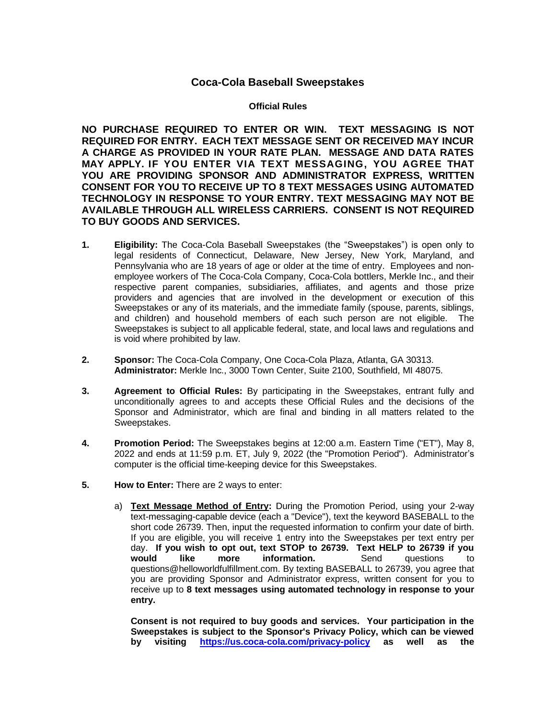## **Coca-Cola Baseball Sweepstakes**

## **Official Rules**

**NO PURCHASE REQUIRED TO ENTER OR WIN. TEXT MESSAGING IS NOT REQUIRED FOR ENTRY. EACH TEXT MESSAGE SENT OR RECEIVED MAY INCUR A CHARGE AS PROVIDED IN YOUR RATE PLAN. MESSAGE AND DATA RATES MAY APPLY. IF YOU ENTER VIA TEXT MESSAGING, YOU AGREE THAT YOU ARE PROVIDING SPONSOR AND ADMINISTRATOR EXPRESS, WRITTEN CONSENT FOR YOU TO RECEIVE UP TO 8 TEXT MESSAGES USING AUTOMATED TECHNOLOGY IN RESPONSE TO YOUR ENTRY. TEXT MESSAGING MAY NOT BE AVAILABLE THROUGH ALL WIRELESS CARRIERS. CONSENT IS NOT REQUIRED TO BUY GOODS AND SERVICES.**

- **1. Eligibility:** The Coca-Cola Baseball Sweepstakes (the "Sweepstakes") is open only to legal residents of Connecticut, Delaware, New Jersey, New York, Maryland, and Pennsylvania who are 18 years of age or older at the time of entry. Employees and nonemployee workers of The Coca-Cola Company, Coca-Cola bottlers, Merkle Inc., and their respective parent companies, subsidiaries, affiliates, and agents and those prize providers and agencies that are involved in the development or execution of this Sweepstakes or any of its materials, and the immediate family (spouse, parents, siblings, and children) and household members of each such person are not eligible. The Sweepstakes is subject to all applicable federal, state, and local laws and regulations and is void where prohibited by law.
- **2. Sponsor:** The Coca-Cola Company, One Coca-Cola Plaza, Atlanta, GA 30313. **Administrator:** Merkle Inc., 3000 Town Center, Suite 2100, Southfield, MI 48075.
- **3. Agreement to Official Rules:** By participating in the Sweepstakes, entrant fully and unconditionally agrees to and accepts these Official Rules and the decisions of the Sponsor and Administrator, which are final and binding in all matters related to the Sweepstakes.
- **4. Promotion Period:** The Sweepstakes begins at 12:00 a.m. Eastern Time ("ET"), May 8, 2022 and ends at 11:59 p.m. ET, July 9, 2022 (the "Promotion Period"). Administrator's computer is the official time-keeping device for this Sweepstakes.
- **5. How to Enter:** There are 2 ways to enter:
	- a) **Text Message Method of Entry:** During the Promotion Period, using your 2-way text-messaging-capable device (each a "Device"), text the keyword BASEBALL to the short code 26739. Then, input the requested information to confirm your date of birth. If you are eligible, you will receive 1 entry into the Sweepstakes per text entry per day. **If you wish to opt out, text STOP to 26739. Text HELP to 26739 if you would like more information.** Send questions to questions@helloworldfulfillment.com. By texting BASEBALL to 26739, you agree that you are providing Sponsor and Administrator express, written consent for you to receive up to **8 text messages using automated technology in response to your entry.**

**Consent is not required to buy goods and services. Your participation in the Sweepstakes is subject to the Sponsor's Privacy Policy, which can be viewed by visiting <https://us.coca-cola.com/privacy-policy> as well as the**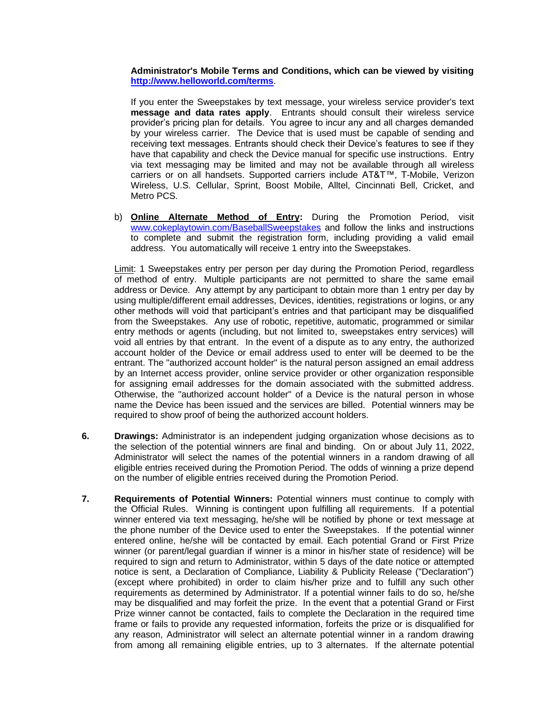**Administrator's Mobile Terms and Conditions, which can be viewed by visiting <http://www.helloworld.com/terms>**.

If you enter the Sweepstakes by text message, your wireless service provider's text **message and data rates apply**. Entrants should consult their wireless service provider's pricing plan for details. You agree to incur any and all charges demanded by your wireless carrier. The Device that is used must be capable of sending and receiving text messages. Entrants should check their Device's features to see if they have that capability and check the Device manual for specific use instructions. Entry via text messaging may be limited and may not be available through all wireless carriers or on all handsets. Supported carriers include AT&T™, T-Mobile, Verizon Wireless, U.S. Cellular, Sprint, Boost Mobile, Alltel, Cincinnati Bell, Cricket, and Metro PCS.

b) **Online Alternate Method of Entry:** During the Promotion Period, visit [www.cokeplaytowin.com/BaseballSweepstakes](http://www.cokeplaytowin.com/BaseballSweepstakes) and follow the links and instructions to complete and submit the registration form, including providing a valid email address. You automatically will receive 1 entry into the Sweepstakes.

Limit: 1 Sweepstakes entry per person per day during the Promotion Period, regardless of method of entry. Multiple participants are not permitted to share the same email address or Device. Any attempt by any participant to obtain more than 1 entry per day by using multiple/different email addresses, Devices, identities, registrations or logins, or any other methods will void that participant's entries and that participant may be disqualified from the Sweepstakes. Any use of robotic, repetitive, automatic, programmed or similar entry methods or agents (including, but not limited to, sweepstakes entry services) will void all entries by that entrant. In the event of a dispute as to any entry, the authorized account holder of the Device or email address used to enter will be deemed to be the entrant. The "authorized account holder" is the natural person assigned an email address by an Internet access provider, online service provider or other organization responsible for assigning email addresses for the domain associated with the submitted address. Otherwise, the "authorized account holder" of a Device is the natural person in whose name the Device has been issued and the services are billed. Potential winners may be required to show proof of being the authorized account holders.

- **6. Drawings:** Administrator is an independent judging organization whose decisions as to the selection of the potential winners are final and binding. On or about July 11, 2022, Administrator will select the names of the potential winners in a random drawing of all eligible entries received during the Promotion Period. The odds of winning a prize depend on the number of eligible entries received during the Promotion Period.
- **7. Requirements of Potential Winners:** Potential winners must continue to comply with the Official Rules. Winning is contingent upon fulfilling all requirements. If a potential winner entered via text messaging, he/she will be notified by phone or text message at the phone number of the Device used to enter the Sweepstakes. If the potential winner entered online, he/she will be contacted by email. Each potential Grand or First Prize winner (or parent/legal guardian if winner is a minor in his/her state of residence) will be required to sign and return to Administrator, within 5 days of the date notice or attempted notice is sent, a Declaration of Compliance, Liability & Publicity Release ("Declaration") (except where prohibited) in order to claim his/her prize and to fulfill any such other requirements as determined by Administrator. If a potential winner fails to do so, he/she may be disqualified and may forfeit the prize. In the event that a potential Grand or First Prize winner cannot be contacted, fails to complete the Declaration in the required time frame or fails to provide any requested information, forfeits the prize or is disqualified for any reason, Administrator will select an alternate potential winner in a random drawing from among all remaining eligible entries, up to 3 alternates. If the alternate potential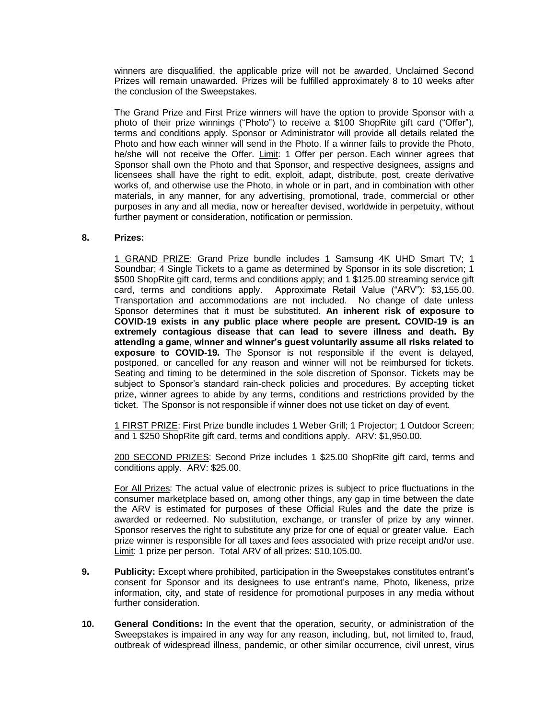winners are disqualified, the applicable prize will not be awarded. Unclaimed Second Prizes will remain unawarded. Prizes will be fulfilled approximately 8 to 10 weeks after the conclusion of the Sweepstakes.

The Grand Prize and First Prize winners will have the option to provide Sponsor with a photo of their prize winnings ("Photo") to receive a \$100 ShopRite gift card ("Offer"), terms and conditions apply. Sponsor or Administrator will provide all details related the Photo and how each winner will send in the Photo. If a winner fails to provide the Photo, he/she will not receive the Offer. Limit: 1 Offer per person. Each winner agrees that Sponsor shall own the Photo and that Sponsor, and respective designees, assigns and licensees shall have the right to edit, exploit, adapt, distribute, post, create derivative works of, and otherwise use the Photo, in whole or in part, and in combination with other materials, in any manner, for any advertising, promotional, trade, commercial or other purposes in any and all media, now or hereafter devised, worldwide in perpetuity, without further payment or consideration, notification or permission.

## **8. Prizes:**

1 GRAND PRIZE: Grand Prize bundle includes 1 Samsung 4K UHD Smart TV; 1 Soundbar; 4 Single Tickets to a game as determined by Sponsor in its sole discretion; 1 \$500 ShopRite gift card, terms and conditions apply; and 1 \$125.00 streaming service gift card, terms and conditions apply. Approximate Retail Value ("ARV"): \$3,155.00. Transportation and accommodations are not included. No change of date unless Sponsor determines that it must be substituted. **An inherent risk of exposure to COVID-19 exists in any public place where people are present. COVID-19 is an extremely contagious disease that can lead to severe illness and death. By attending a game, winner and winner's guest voluntarily assume all risks related to exposure to COVID-19.** The Sponsor is not responsible if the event is delayed, postponed, or cancelled for any reason and winner will not be reimbursed for tickets. Seating and timing to be determined in the sole discretion of Sponsor. Tickets may be subject to Sponsor's standard rain-check policies and procedures. By accepting ticket prize, winner agrees to abide by any terms, conditions and restrictions provided by the ticket. The Sponsor is not responsible if winner does not use ticket on day of event.

1 FIRST PRIZE: First Prize bundle includes 1 Weber Grill; 1 Projector; 1 Outdoor Screen; and 1 \$250 ShopRite gift card, terms and conditions apply. ARV: \$1,950.00.

200 SECOND PRIZES: Second Prize includes 1 \$25.00 ShopRite gift card, terms and conditions apply. ARV: \$25.00.

For All Prizes: The actual value of electronic prizes is subject to price fluctuations in the consumer marketplace based on, among other things, any gap in time between the date the ARV is estimated for purposes of these Official Rules and the date the prize is awarded or redeemed. No substitution, exchange, or transfer of prize by any winner. Sponsor reserves the right to substitute any prize for one of equal or greater value. Each prize winner is responsible for all taxes and fees associated with prize receipt and/or use. Limit: 1 prize per person. Total ARV of all prizes: \$10,105.00.

- **9. Publicity:** Except where prohibited, participation in the Sweepstakes constitutes entrant's consent for Sponsor and its designees to use entrant's name, Photo, likeness, prize information, city, and state of residence for promotional purposes in any media without further consideration.
- **10. General Conditions:** In the event that the operation, security, or administration of the Sweepstakes is impaired in any way for any reason, including, but, not limited to, fraud, outbreak of widespread illness, pandemic, or other similar occurrence, civil unrest, virus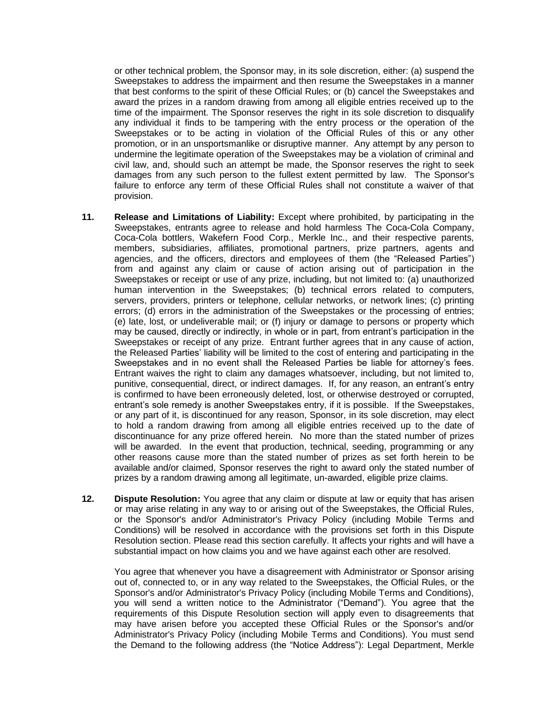or other technical problem, the Sponsor may, in its sole discretion, either: (a) suspend the Sweepstakes to address the impairment and then resume the Sweepstakes in a manner that best conforms to the spirit of these Official Rules; or (b) cancel the Sweepstakes and award the prizes in a random drawing from among all eligible entries received up to the time of the impairment. The Sponsor reserves the right in its sole discretion to disqualify any individual it finds to be tampering with the entry process or the operation of the Sweepstakes or to be acting in violation of the Official Rules of this or any other promotion, or in an unsportsmanlike or disruptive manner. Any attempt by any person to undermine the legitimate operation of the Sweepstakes may be a violation of criminal and civil law, and, should such an attempt be made, the Sponsor reserves the right to seek damages from any such person to the fullest extent permitted by law. The Sponsor's failure to enforce any term of these Official Rules shall not constitute a waiver of that provision.

- **11. Release and Limitations of Liability:** Except where prohibited, by participating in the Sweepstakes, entrants agree to release and hold harmless The Coca-Cola Company, Coca-Cola bottlers, Wakefern Food Corp., Merkle Inc., and their respective parents, members, subsidiaries, affiliates, promotional partners, prize partners, agents and agencies, and the officers, directors and employees of them (the "Released Parties") from and against any claim or cause of action arising out of participation in the Sweepstakes or receipt or use of any prize, including, but not limited to: (a) unauthorized human intervention in the Sweepstakes; (b) technical errors related to computers, servers, providers, printers or telephone, cellular networks, or network lines; (c) printing errors; (d) errors in the administration of the Sweepstakes or the processing of entries; (e) late, lost, or undeliverable mail; or (f) injury or damage to persons or property which may be caused, directly or indirectly, in whole or in part, from entrant's participation in the Sweepstakes or receipt of any prize. Entrant further agrees that in any cause of action, the Released Parties' liability will be limited to the cost of entering and participating in the Sweepstakes and in no event shall the Released Parties be liable for attorney's fees. Entrant waives the right to claim any damages whatsoever, including, but not limited to, punitive, consequential, direct, or indirect damages. If, for any reason, an entrant's entry is confirmed to have been erroneously deleted, lost, or otherwise destroyed or corrupted, entrant's sole remedy is another Sweepstakes entry, if it is possible. If the Sweepstakes, or any part of it, is discontinued for any reason, Sponsor, in its sole discretion, may elect to hold a random drawing from among all eligible entries received up to the date of discontinuance for any prize offered herein. No more than the stated number of prizes will be awarded. In the event that production, technical, seeding, programming or any other reasons cause more than the stated number of prizes as set forth herein to be available and/or claimed, Sponsor reserves the right to award only the stated number of prizes by a random drawing among all legitimate, un-awarded, eligible prize claims.
- **12. Dispute Resolution:** You agree that any claim or dispute at law or equity that has arisen or may arise relating in any way to or arising out of the Sweepstakes, the Official Rules, or the Sponsor's and/or Administrator's Privacy Policy (including Mobile Terms and Conditions) will be resolved in accordance with the provisions set forth in this Dispute Resolution section. Please read this section carefully. It affects your rights and will have a substantial impact on how claims you and we have against each other are resolved.

You agree that whenever you have a disagreement with Administrator or Sponsor arising out of, connected to, or in any way related to the Sweepstakes, the Official Rules, or the Sponsor's and/or Administrator's Privacy Policy (including Mobile Terms and Conditions), you will send a written notice to the Administrator ("Demand"). You agree that the requirements of this Dispute Resolution section will apply even to disagreements that may have arisen before you accepted these Official Rules or the Sponsor's and/or Administrator's Privacy Policy (including Mobile Terms and Conditions). You must send the Demand to the following address (the "Notice Address"): Legal Department, Merkle